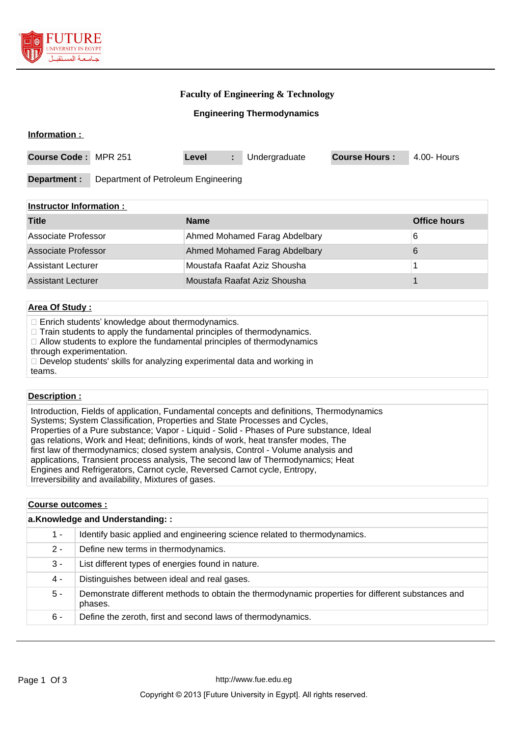

## **Faculty of Engineering & Technology**

## **Engineering Thermodynamics**

|--|

| Course Code: MPR 251 |                                     | Level |  | Undergraduate | <b>Course Hours:</b> | 4.00- Hours |
|----------------------|-------------------------------------|-------|--|---------------|----------------------|-------------|
| Department :         | Department of Petroleum Engineering |       |  |               |                      |             |

### **Instructor Information :**

| <b>Title</b>              | <b>Name</b>                   | <b>Office hours</b> |
|---------------------------|-------------------------------|---------------------|
| Associate Professor       | Ahmed Mohamed Farag Abdelbary | 6                   |
| Associate Professor       | Ahmed Mohamed Farag Abdelbary |                     |
| Assistant Lecturer        | Moustafa Raafat Aziz Shousha  |                     |
| <b>Assistant Lecturer</b> | Moustafa Raafat Aziz Shousha  |                     |

#### **Area Of Study :**

 $\Box$  Enrich students' knowledge about thermodynamics.

 $\Box$  Train students to apply the fundamental principles of thermodynamics.

□ Allow students to explore the fundamental principles of thermodynamics

through experimentation.

□ Develop students' skills for analyzing experimental data and working in teams.

### **Description :**

Introduction, Fields of application, Fundamental concepts and definitions, Thermodynamics Systems; System Classification, Properties and State Processes and Cycles, Properties of a Pure substance; Vapor - Liquid - Solid - Phases of Pure substance, Ideal gas relations, Work and Heat; definitions, kinds of work, heat transfer modes, The first law of thermodynamics; closed system analysis, Control - Volume analysis and applications, Transient process analysis, The second law of Thermodynamics; Heat Engines and Refrigerators, Carnot cycle, Reversed Carnot cycle, Entropy, Irreversibility and availability, Mixtures of gases.

# **Course outcomes : a.Knowledge and Understanding: :** 1 - Identify basic applied and engineering science related to thermodynamics. 2 - Define new terms in thermodynamics. 3 - List different types of energies found in nature. 4 - Distinguishes between ideal and real gases. 5 - Demonstrate different methods to obtain the thermodynamic properties for different substances and phases. 6 - Define the zeroth, first and second laws of thermodynamics.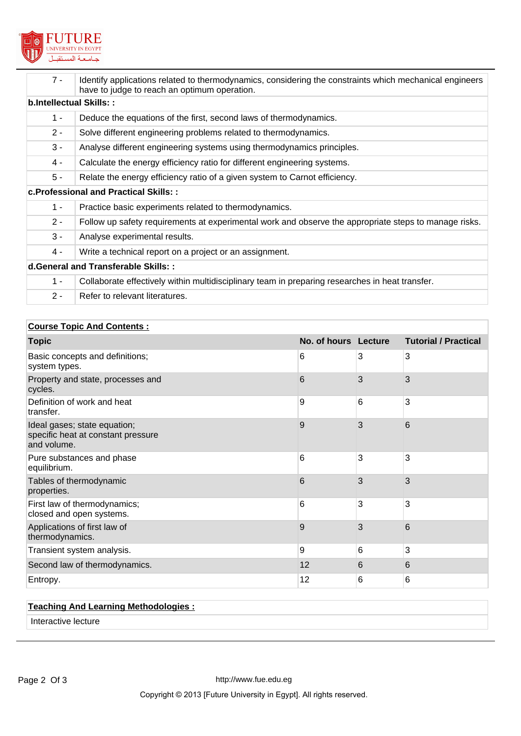

| $7 -$                                  | Identify applications related to thermodynamics, considering the constraints which mechanical engineers<br>have to judge to reach an optimum operation. |  |  |  |  |
|----------------------------------------|---------------------------------------------------------------------------------------------------------------------------------------------------------|--|--|--|--|
|                                        | b.Intellectual Skills::                                                                                                                                 |  |  |  |  |
| $1 -$                                  | Deduce the equations of the first, second laws of thermodynamics.                                                                                       |  |  |  |  |
| $2 -$                                  | Solve different engineering problems related to thermodynamics.                                                                                         |  |  |  |  |
| $3 -$                                  | Analyse different engineering systems using thermodynamics principles.                                                                                  |  |  |  |  |
| 4 -                                    | Calculate the energy efficiency ratio for different engineering systems.                                                                                |  |  |  |  |
| $5 -$                                  | Relate the energy efficiency ratio of a given system to Carnot efficiency.                                                                              |  |  |  |  |
| c. Professional and Practical Skills:: |                                                                                                                                                         |  |  |  |  |
| $1 -$                                  | Practice basic experiments related to thermodynamics.                                                                                                   |  |  |  |  |
| $2 -$                                  | Follow up safety requirements at experimental work and observe the appropriate steps to manage risks.                                                   |  |  |  |  |
| $3 -$                                  | Analyse experimental results.                                                                                                                           |  |  |  |  |
| 4 -                                    | Write a technical report on a project or an assignment.                                                                                                 |  |  |  |  |
| d. General and Transferable Skills::   |                                                                                                                                                         |  |  |  |  |
| $1 -$                                  | Collaborate effectively within multidisciplinary team in preparing researches in heat transfer.                                                         |  |  |  |  |
| $2 -$                                  | Refer to relevant literatures.                                                                                                                          |  |  |  |  |

# **Course Topic And Contents :**

| <b>Topic</b>                                                                      | No. of hours Lecture |   | <b>Tutorial / Practical</b> |
|-----------------------------------------------------------------------------------|----------------------|---|-----------------------------|
| Basic concepts and definitions;<br>system types.                                  | 6                    | 3 | 3                           |
| Property and state, processes and<br>cycles.                                      | 6                    | 3 | 3                           |
| Definition of work and heat<br>transfer.                                          | 9                    | 6 | 3                           |
| Ideal gases; state equation;<br>specific heat at constant pressure<br>and volume. | 9                    | 3 | 6                           |
| Pure substances and phase<br>equilibrium.                                         | 6                    | 3 | 3                           |
| Tables of thermodynamic<br>properties.                                            | 6                    | 3 | 3                           |
| First law of thermodynamics;<br>closed and open systems.                          | 6                    | 3 | 3                           |
| Applications of first law of<br>thermodynamics.                                   | 9                    | 3 | 6                           |
| Transient system analysis.                                                        | 9                    | 6 | 3                           |
| Second law of thermodynamics.                                                     | 12                   | 6 | 6                           |
| Entropy.                                                                          | 12                   | 6 | 6                           |

## **Teaching And Learning Methodologies :**

Interactive lecture